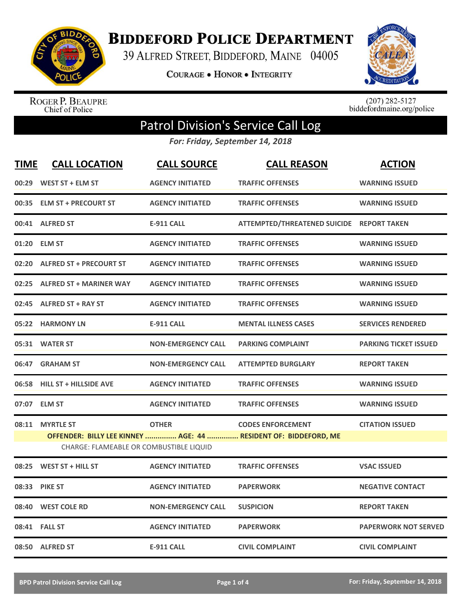

**BIDDEFORD POLICE DEPARTMENT** 

39 ALFRED STREET, BIDDEFORD, MAINE 04005

**COURAGE . HONOR . INTEGRITY** 



ROGER P. BEAUPRE<br>Chief of Police

 $(207)$  282-5127<br>biddefordmaine.org/police

## Patrol Division's Service Call Log

*For: Friday, September 14, 2018*

| <b>TIME</b> | <b>CALL LOCATION</b>                    | <b>CALL SOURCE</b>        | <b>CALL REASON</b>                                                                          | <b>ACTION</b>                |
|-------------|-----------------------------------------|---------------------------|---------------------------------------------------------------------------------------------|------------------------------|
|             | 00:29 WEST ST + ELM ST                  | <b>AGENCY INITIATED</b>   | <b>TRAFFIC OFFENSES</b>                                                                     | <b>WARNING ISSUED</b>        |
|             | 00:35 ELM ST + PRECOURT ST              | <b>AGENCY INITIATED</b>   | <b>TRAFFIC OFFENSES</b>                                                                     | <b>WARNING ISSUED</b>        |
|             | 00:41 ALFRED ST                         | <b>E-911 CALL</b>         | ATTEMPTED/THREATENED SUICIDE REPORT TAKEN                                                   |                              |
| 01:20       | <b>ELM ST</b>                           | <b>AGENCY INITIATED</b>   | <b>TRAFFIC OFFENSES</b>                                                                     | <b>WARNING ISSUED</b>        |
| 02:20       | <b>ALFRED ST + PRECOURT ST</b>          | <b>AGENCY INITIATED</b>   | <b>TRAFFIC OFFENSES</b>                                                                     | <b>WARNING ISSUED</b>        |
|             | 02:25 ALFRED ST + MARINER WAY           | <b>AGENCY INITIATED</b>   | <b>TRAFFIC OFFENSES</b>                                                                     | <b>WARNING ISSUED</b>        |
|             | 02:45 ALFRED ST + RAY ST                | <b>AGENCY INITIATED</b>   | <b>TRAFFIC OFFENSES</b>                                                                     | <b>WARNING ISSUED</b>        |
|             | 05:22 HARMONY LN                        | <b>E-911 CALL</b>         | <b>MENTAL ILLNESS CASES</b>                                                                 | <b>SERVICES RENDERED</b>     |
|             | 05:31 WATER ST                          | <b>NON-EMERGENCY CALL</b> | <b>PARKING COMPLAINT</b>                                                                    | <b>PARKING TICKET ISSUED</b> |
|             | 06:47 GRAHAM ST                         | <b>NON-EMERGENCY CALL</b> | <b>ATTEMPTED BURGLARY</b>                                                                   | <b>REPORT TAKEN</b>          |
|             | 06:58 HILL ST + HILLSIDE AVE            | <b>AGENCY INITIATED</b>   | <b>TRAFFIC OFFENSES</b>                                                                     | <b>WARNING ISSUED</b>        |
|             | 07:07 ELM ST                            | <b>AGENCY INITIATED</b>   | <b>TRAFFIC OFFENSES</b>                                                                     | <b>WARNING ISSUED</b>        |
| 08:11       | <b>MYRTLE ST</b>                        | <b>OTHER</b>              | <b>CODES ENFORCEMENT</b><br>OFFENDER: BILLY LEE KINNEY  AGE: 44  RESIDENT OF: BIDDEFORD, ME | <b>CITATION ISSUED</b>       |
|             | CHARGE: FLAMEABLE OR COMBUSTIBLE LIQUID |                           |                                                                                             |                              |
| 08:25       | <b>WEST ST + HILL ST</b>                | <b>AGENCY INITIATED</b>   | <b>TRAFFIC OFFENSES</b>                                                                     | <b>VSAC ISSUED</b>           |
|             | 08:33 PIKE ST                           | <b>AGENCY INITIATED</b>   | <b>PAPERWORK</b>                                                                            | <b>NEGATIVE CONTACT</b>      |
| 08:40       | <b>WEST COLE RD</b>                     | <b>NON-EMERGENCY CALL</b> | <b>SUSPICION</b>                                                                            | <b>REPORT TAKEN</b>          |
|             | 08:41 FALL ST                           | <b>AGENCY INITIATED</b>   | <b>PAPERWORK</b>                                                                            | <b>PAPERWORK NOT SERVED</b>  |
|             | 08:50 ALFRED ST                         | <b>E-911 CALL</b>         | <b>CIVIL COMPLAINT</b>                                                                      | <b>CIVIL COMPLAINT</b>       |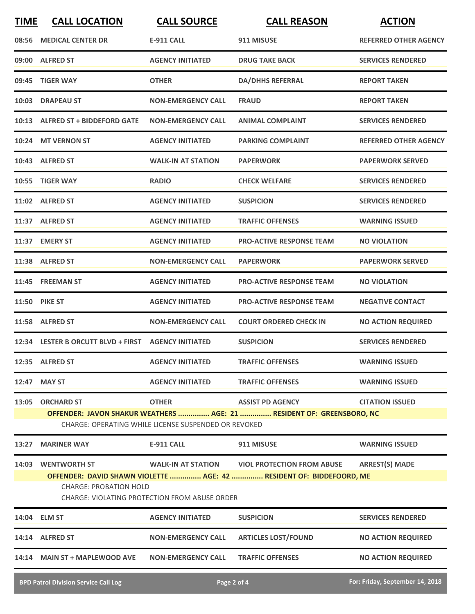| <b>TIME</b> | <b>CALL LOCATION</b>                                                                  | <b>CALL SOURCE</b>                                   | <b>CALL REASON</b>                                                    | <b>ACTION</b>                   |
|-------------|---------------------------------------------------------------------------------------|------------------------------------------------------|-----------------------------------------------------------------------|---------------------------------|
| 08:56       | <b>MEDICAL CENTER DR</b>                                                              | <b>E-911 CALL</b>                                    | 911 MISUSE                                                            | <b>REFERRED OTHER AGENCY</b>    |
|             | 09:00 ALFRED ST                                                                       | <b>AGENCY INITIATED</b>                              | <b>DRUG TAKE BACK</b>                                                 | <b>SERVICES RENDERED</b>        |
| 09:45       | <b>TIGER WAY</b>                                                                      | <b>OTHER</b>                                         | <b>DA/DHHS REFERRAL</b>                                               | <b>REPORT TAKEN</b>             |
|             | 10:03 DRAPEAU ST                                                                      | <b>NON-EMERGENCY CALL</b>                            | <b>FRAUD</b>                                                          | <b>REPORT TAKEN</b>             |
|             | 10:13 ALFRED ST + BIDDEFORD GATE                                                      | <b>NON-EMERGENCY CALL</b>                            | <b>ANIMAL COMPLAINT</b>                                               | <b>SERVICES RENDERED</b>        |
|             | 10:24 MT VERNON ST                                                                    | <b>AGENCY INITIATED</b>                              | <b>PARKING COMPLAINT</b>                                              | REFERRED OTHER AGENCY           |
|             | 10:43 ALFRED ST                                                                       | <b>WALK-IN AT STATION</b>                            | <b>PAPERWORK</b>                                                      | <b>PAPERWORK SERVED</b>         |
|             | 10:55 TIGER WAY                                                                       | <b>RADIO</b>                                         | <b>CHECK WELFARE</b>                                                  | <b>SERVICES RENDERED</b>        |
|             | 11:02 ALFRED ST                                                                       | <b>AGENCY INITIATED</b>                              | <b>SUSPICION</b>                                                      | <b>SERVICES RENDERED</b>        |
|             | 11:37 ALFRED ST                                                                       | <b>AGENCY INITIATED</b>                              | <b>TRAFFIC OFFENSES</b>                                               | <b>WARNING ISSUED</b>           |
|             | 11:37 EMERY ST                                                                        | <b>AGENCY INITIATED</b>                              | <b>PRO-ACTIVE RESPONSE TEAM</b>                                       | <b>NO VIOLATION</b>             |
|             | 11:38 ALFRED ST                                                                       | <b>NON-EMERGENCY CALL</b>                            | <b>PAPERWORK</b>                                                      | <b>PAPERWORK SERVED</b>         |
|             | 11:45 FREEMAN ST                                                                      | <b>AGENCY INITIATED</b>                              | <b>PRO-ACTIVE RESPONSE TEAM</b>                                       | <b>NO VIOLATION</b>             |
|             | <b>11:50 PIKE ST</b>                                                                  | <b>AGENCY INITIATED</b>                              | <b>PRO-ACTIVE RESPONSE TEAM</b>                                       | <b>NEGATIVE CONTACT</b>         |
|             | 11:58 ALFRED ST                                                                       | <b>NON-EMERGENCY CALL</b>                            | <b>COURT ORDERED CHECK IN</b>                                         | <b>NO ACTION REQUIRED</b>       |
|             | 12:34 LESTER B ORCUTT BLVD + FIRST AGENCY INITIATED                                   |                                                      | <b>SUSPICION</b>                                                      | <b>SERVICES RENDERED</b>        |
|             | 12:35 ALFRED ST                                                                       | <b>AGENCY INITIATED</b>                              | <b>TRAFFIC OFFENSES</b>                                               | <b>WARNING ISSUED</b>           |
|             | 12:47 MAY ST                                                                          | <b>AGENCY INITIATED</b>                              | <b>TRAFFIC OFFENSES</b>                                               | <b>WARNING ISSUED</b>           |
|             | 13:05 ORCHARD ST                                                                      | <b>OTHER</b>                                         | <b>ASSIST PD AGENCY</b>                                               | <b>CITATION ISSUED</b>          |
|             |                                                                                       | CHARGE: OPERATING WHILE LICENSE SUSPENDED OR REVOKED | OFFENDER: JAVON SHAKUR WEATHERS  AGE: 21  RESIDENT OF: GREENSBORO, NC |                                 |
| 13:27       | <b>MARINER WAY</b>                                                                    | <b>E-911 CALL</b>                                    | 911 MISUSE                                                            | <b>WARNING ISSUED</b>           |
|             | 14:03 WENTWORTH ST                                                                    |                                                      | WALK-IN AT STATION VIOL PROTECTION FROM ABUSE                         | <b>ARREST(S) MADE</b>           |
|             |                                                                                       |                                                      | OFFENDER: DAVID SHAWN VIOLETTE  AGE: 42  RESIDENT OF: BIDDEFOORD, ME  |                                 |
|             | <b>CHARGE: PROBATION HOLD</b><br><b>CHARGE: VIOLATING PROTECTION FROM ABUSE ORDER</b> |                                                      |                                                                       |                                 |
|             | 14:04 ELM ST                                                                          | <b>AGENCY INITIATED</b>                              | <b>SUSPICION</b>                                                      | <b>SERVICES RENDERED</b>        |
|             | 14:14 ALFRED ST                                                                       | <b>NON-EMERGENCY CALL</b>                            | <b>ARTICLES LOST/FOUND</b>                                            | <b>NO ACTION REQUIRED</b>       |
|             | 14:14 MAIN ST + MAPLEWOOD AVE                                                         | <b>NON-EMERGENCY CALL</b>                            | <b>TRAFFIC OFFENSES</b>                                               | <b>NO ACTION REQUIRED</b>       |
|             | <b>BPD Patrol Division Service Call Log</b>                                           |                                                      | Page 2 of 4                                                           | For: Friday, September 14, 2018 |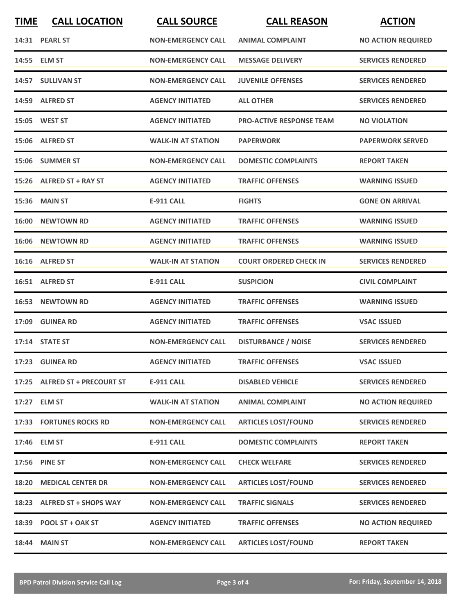| <b>TIME</b> | <b>CALL LOCATION</b>           | <b>CALL SOURCE</b>        | <b>CALL REASON</b>              | <b>ACTION</b>             |
|-------------|--------------------------------|---------------------------|---------------------------------|---------------------------|
|             | 14:31 PEARL ST                 | <b>NON-EMERGENCY CALL</b> | <b>ANIMAL COMPLAINT</b>         | <b>NO ACTION REQUIRED</b> |
|             | 14:55 ELM ST                   | <b>NON-EMERGENCY CALL</b> | <b>MESSAGE DELIVERY</b>         | <b>SERVICES RENDERED</b>  |
|             | 14:57 SULLIVAN ST              | <b>NON-EMERGENCY CALL</b> | <b>JUVENILE OFFENSES</b>        | <b>SERVICES RENDERED</b>  |
|             | 14:59 ALFRED ST                | <b>AGENCY INITIATED</b>   | <b>ALL OTHER</b>                | <b>SERVICES RENDERED</b>  |
|             | <b>15:05 WEST ST</b>           | <b>AGENCY INITIATED</b>   | <b>PRO-ACTIVE RESPONSE TEAM</b> | <b>NO VIOLATION</b>       |
|             | 15:06 ALFRED ST                | <b>WALK-IN AT STATION</b> | <b>PAPERWORK</b>                | <b>PAPERWORK SERVED</b>   |
|             | 15:06 SUMMER ST                | <b>NON-EMERGENCY CALL</b> | <b>DOMESTIC COMPLAINTS</b>      | <b>REPORT TAKEN</b>       |
|             | 15:26 ALFRED ST + RAY ST       | <b>AGENCY INITIATED</b>   | <b>TRAFFIC OFFENSES</b>         | <b>WARNING ISSUED</b>     |
|             | <b>15:36 MAIN ST</b>           | <b>E-911 CALL</b>         | <b>FIGHTS</b>                   | <b>GONE ON ARRIVAL</b>    |
|             | 16:00 NEWTOWN RD               | <b>AGENCY INITIATED</b>   | <b>TRAFFIC OFFENSES</b>         | <b>WARNING ISSUED</b>     |
| 16:06       | <b>NEWTOWN RD</b>              | <b>AGENCY INITIATED</b>   | <b>TRAFFIC OFFENSES</b>         | <b>WARNING ISSUED</b>     |
|             | 16:16 ALFRED ST                | <b>WALK-IN AT STATION</b> | <b>COURT ORDERED CHECK IN</b>   | <b>SERVICES RENDERED</b>  |
|             | 16:51 ALFRED ST                | <b>E-911 CALL</b>         | <b>SUSPICION</b>                | <b>CIVIL COMPLAINT</b>    |
|             | 16:53 NEWTOWN RD               | <b>AGENCY INITIATED</b>   | <b>TRAFFIC OFFENSES</b>         | <b>WARNING ISSUED</b>     |
|             | 17:09 GUINEA RD                | <b>AGENCY INITIATED</b>   | <b>TRAFFIC OFFENSES</b>         | <b>VSAC ISSUED</b>        |
|             | 17:14 STATE ST                 | <b>NON-EMERGENCY CALL</b> | <b>DISTURBANCE / NOISE</b>      | <b>SERVICES RENDERED</b>  |
|             | 17:23 GUINEA RD                | <b>AGENCY INITIATED</b>   | <b>TRAFFIC OFFENSES</b>         | <b>VSAC ISSUED</b>        |
|             | 17:25 ALFRED ST + PRECOURT ST  | <b>E-911 CALL</b>         | <b>DISABLED VEHICLE</b>         | <b>SERVICES RENDERED</b>  |
|             | 17:27 ELM ST                   | <b>WALK-IN AT STATION</b> | <b>ANIMAL COMPLAINT</b>         | <b>NO ACTION REQUIRED</b> |
|             | <b>17:33 FORTUNES ROCKS RD</b> | <b>NON-EMERGENCY CALL</b> | <b>ARTICLES LOST/FOUND</b>      | <b>SERVICES RENDERED</b>  |
|             | 17:46 ELM ST                   | <b>E-911 CALL</b>         | <b>DOMESTIC COMPLAINTS</b>      | <b>REPORT TAKEN</b>       |
|             | 17:56 PINE ST                  | <b>NON-EMERGENCY CALL</b> | <b>CHECK WELFARE</b>            | <b>SERVICES RENDERED</b>  |
|             | 18:20 MEDICAL CENTER DR        | <b>NON-EMERGENCY CALL</b> | <b>ARTICLES LOST/FOUND</b>      | <b>SERVICES RENDERED</b>  |
|             | 18:23 ALFRED ST + SHOPS WAY    | <b>NON-EMERGENCY CALL</b> | <b>TRAFFIC SIGNALS</b>          | <b>SERVICES RENDERED</b>  |
|             | 18:39 POOL ST + OAK ST         | <b>AGENCY INITIATED</b>   | <b>TRAFFIC OFFENSES</b>         | <b>NO ACTION REQUIRED</b> |
|             | <b>18:44 MAIN ST</b>           | <b>NON-EMERGENCY CALL</b> | <b>ARTICLES LOST/FOUND</b>      | <b>REPORT TAKEN</b>       |